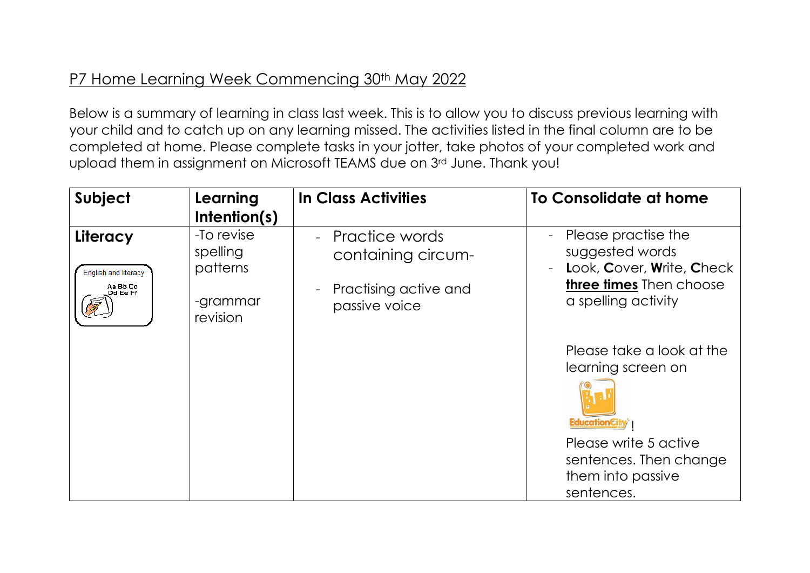## P7 Home Learning Week Commencing 30<sup>th</sup> May 2022

Below is a summary of learning in class last week. This is to allow you to discuss previous learning with your child and to catch up on any learning missed. The activities listed in the final column are to be completed at home. Please complete tasks in your jotter, take photos of your completed work and upload them in assignment on Microsoft TEAMS due on 3rd June. Thank you!

| Subject                                                  | Learning<br>Intention(s)                                   | <b>In Class Activities</b>                                                                                   | To Consolidate at home                                                                                                                                                     |
|----------------------------------------------------------|------------------------------------------------------------|--------------------------------------------------------------------------------------------------------------|----------------------------------------------------------------------------------------------------------------------------------------------------------------------------|
| Literacy<br>English and literacy<br>Aa Bb Cc<br>Dd Ee Ff | -To revise<br>spelling<br>patterns<br>-grammar<br>revision | - Practice words<br>containing circum-<br>Practising active and<br>$\overline{\phantom{a}}$<br>passive voice | Please practise the<br>$\overline{\phantom{a}}$<br>suggested words<br>Look, Cover, Write, Check<br>$\blacksquare$<br><b>three times</b> Then choose<br>a spelling activity |
|                                                          |                                                            |                                                                                                              | Please take a look at the<br>learning screen on<br><b>EducationCi</b><br>Please write 5 active<br>sentences. Then change<br>them into passive<br>sentences.                |